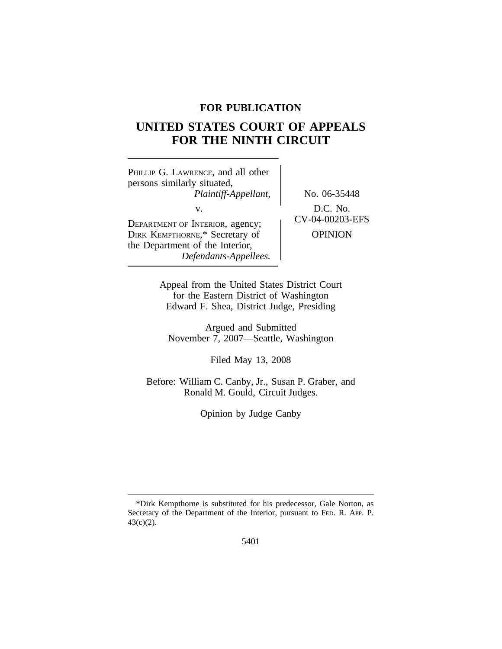## **FOR PUBLICATION**

# **UNITED STATES COURT OF APPEALS FOR THE NINTH CIRCUIT**

<sup>P</sup>HILLIP G. LAWRENCE, and all other persons similarly situated, *Plaintiff-Appellant,* No. 06-35448 v.<br>DEPARTMENT OF INTERIOR, agency; CV-04-00203-EFS DIRK KEMPTHORNE,\* Secretary of OPINION the Department of the Interior,

*Defendants-Appellees.*

Appeal from the United States District Court for the Eastern District of Washington Edward F. Shea, District Judge, Presiding

Argued and Submitted November 7, 2007—Seattle, Washington

Filed May 13, 2008

Before: William C. Canby, Jr., Susan P. Graber, and Ronald M. Gould, Circuit Judges.

Opinion by Judge Canby

<sup>\*</sup>Dirk Kempthorne is substituted for his predecessor, Gale Norton, as Secretary of the Department of the Interior, pursuant to FED. R. APP. P. 43(c)(2).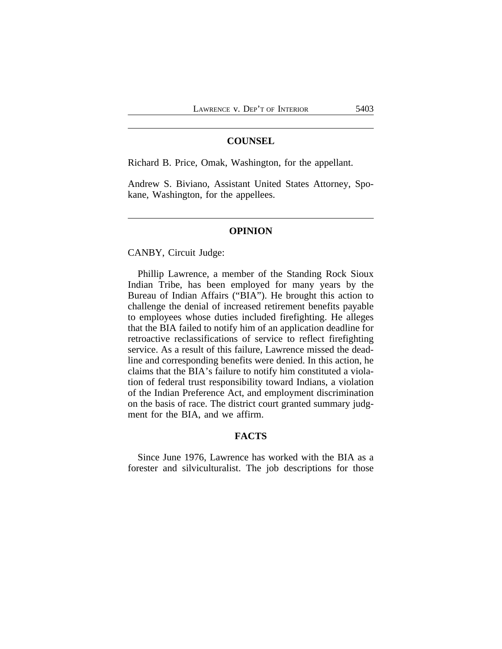### **COUNSEL**

Richard B. Price, Omak, Washington, for the appellant.

Andrew S. Biviano, Assistant United States Attorney, Spokane, Washington, for the appellees.

#### **OPINION**

CANBY, Circuit Judge:

Phillip Lawrence, a member of the Standing Rock Sioux Indian Tribe, has been employed for many years by the Bureau of Indian Affairs ("BIA"). He brought this action to challenge the denial of increased retirement benefits payable to employees whose duties included firefighting. He alleges that the BIA failed to notify him of an application deadline for retroactive reclassifications of service to reflect firefighting service. As a result of this failure, Lawrence missed the deadline and corresponding benefits were denied. In this action, he claims that the BIA's failure to notify him constituted a violation of federal trust responsibility toward Indians, a violation of the Indian Preference Act, and employment discrimination on the basis of race. The district court granted summary judgment for the BIA, and we affirm.

#### **FACTS**

Since June 1976, Lawrence has worked with the BIA as a forester and silviculturalist. The job descriptions for those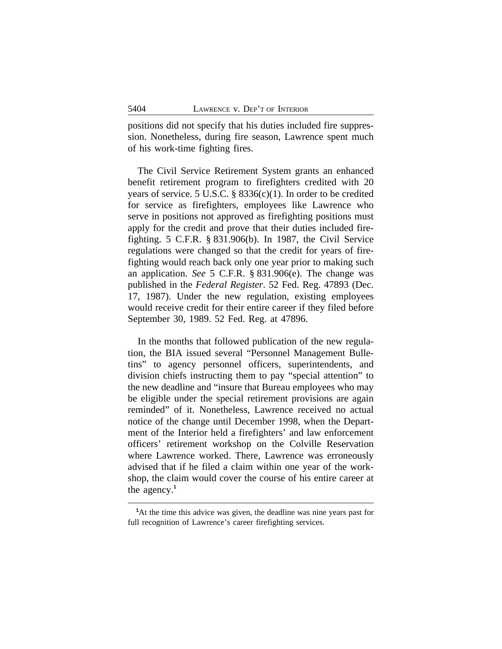positions did not specify that his duties included fire suppression. Nonetheless, during fire season, Lawrence spent much of his work-time fighting fires.

The Civil Service Retirement System grants an enhanced benefit retirement program to firefighters credited with 20 years of service. 5 U.S.C. § 8336(c)(1). In order to be credited for service as firefighters, employees like Lawrence who serve in positions not approved as firefighting positions must apply for the credit and prove that their duties included firefighting. 5 C.F.R. § 831.906(b). In 1987, the Civil Service regulations were changed so that the credit for years of firefighting would reach back only one year prior to making such an application. *See* 5 C.F.R. § 831.906(e). The change was published in the *Federal Register*. 52 Fed. Reg. 47893 (Dec. 17, 1987). Under the new regulation, existing employees would receive credit for their entire career if they filed before September 30, 1989. 52 Fed. Reg. at 47896.

In the months that followed publication of the new regulation, the BIA issued several "Personnel Management Bulletins" to agency personnel officers, superintendents, and division chiefs instructing them to pay "special attention" to the new deadline and "insure that Bureau employees who may be eligible under the special retirement provisions are again reminded" of it. Nonetheless, Lawrence received no actual notice of the change until December 1998, when the Department of the Interior held a firefighters' and law enforcement officers' retirement workshop on the Colville Reservation where Lawrence worked. There, Lawrence was erroneously advised that if he filed a claim within one year of the workshop, the claim would cover the course of his entire career at the agency.**<sup>1</sup>**

**<sup>1</sup>**At the time this advice was given, the deadline was nine years past for full recognition of Lawrence's career firefighting services.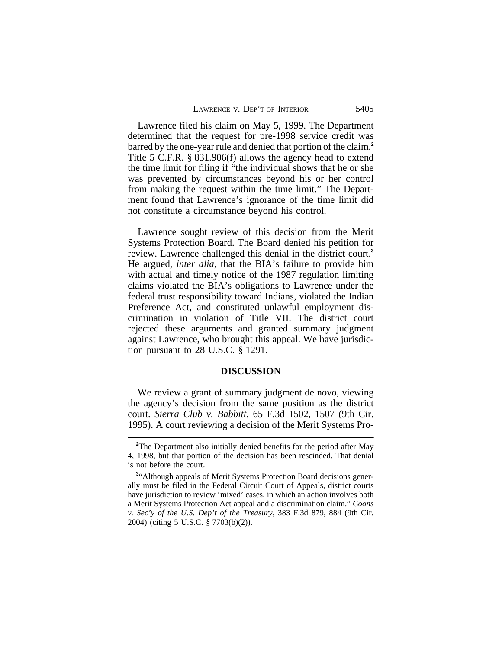| LAWRENCE V. DEP'T OF INTERIOR | 5405 |
|-------------------------------|------|
|-------------------------------|------|

Lawrence filed his claim on May 5, 1999. The Department determined that the request for pre-1998 service credit was barred by the one-year rule and denied that portion of the claim.**<sup>2</sup>** Title 5 C.F.R. § 831.906(f) allows the agency head to extend the time limit for filing if "the individual shows that he or she was prevented by circumstances beyond his or her control from making the request within the time limit." The Department found that Lawrence's ignorance of the time limit did not constitute a circumstance beyond his control.

Lawrence sought review of this decision from the Merit Systems Protection Board. The Board denied his petition for review. Lawrence challenged this denial in the district court.**<sup>3</sup>** He argued, *inter alia*, that the BIA's failure to provide him with actual and timely notice of the 1987 regulation limiting claims violated the BIA's obligations to Lawrence under the federal trust responsibility toward Indians, violated the Indian Preference Act, and constituted unlawful employment discrimination in violation of Title VII. The district court rejected these arguments and granted summary judgment against Lawrence, who brought this appeal. We have jurisdiction pursuant to 28 U.S.C. § 1291.

#### **DISCUSSION**

We review a grant of summary judgment de novo, viewing the agency's decision from the same position as the district court. *Sierra Club v. Babbitt*, 65 F.3d 1502, 1507 (9th Cir. 1995). A court reviewing a decision of the Merit Systems Pro-

**<sup>2</sup>**The Department also initially denied benefits for the period after May 4, 1998, but that portion of the decision has been rescinded. That denial is not before the court.

<sup>&</sup>lt;sup>3</sup>"Although appeals of Merit Systems Protection Board decisions generally must be filed in the Federal Circuit Court of Appeals, district courts have jurisdiction to review 'mixed' cases, in which an action involves both a Merit Systems Protection Act appeal and a discrimination claim." *Coons v. Sec'y of the U.S. Dep't of the Treasury,* 383 F.3d 879, 884 (9th Cir. 2004) (citing 5 U.S.C. § 7703(b)(2)).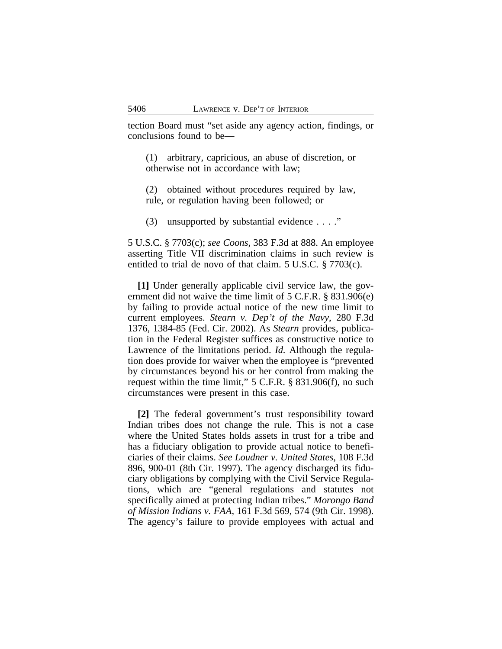tection Board must "set aside any agency action, findings, or conclusions found to be—

(1) arbitrary, capricious, an abuse of discretion, or otherwise not in accordance with law;

(2) obtained without procedures required by law, rule, or regulation having been followed; or

(3) unsupported by substantial evidence . . . ."

5 U.S.C. § 7703(c); *see Coons,* 383 F.3d at 888. An employee asserting Title VII discrimination claims in such review is entitled to trial de novo of that claim. 5 U.S.C. § 7703(c).

**[1]** Under generally applicable civil service law, the government did not waive the time limit of 5 C.F.R. § 831.906(e) by failing to provide actual notice of the new time limit to current employees. *Stearn v. Dep't of the Navy*, 280 F.3d 1376, 1384-85 (Fed. Cir. 2002). As *Stearn* provides, publication in the Federal Register suffices as constructive notice to Lawrence of the limitations period. *Id.* Although the regulation does provide for waiver when the employee is "prevented by circumstances beyond his or her control from making the request within the time limit," 5 C.F.R. § 831.906(f), no such circumstances were present in this case.

**[2]** The federal government's trust responsibility toward Indian tribes does not change the rule. This is not a case where the United States holds assets in trust for a tribe and has a fiduciary obligation to provide actual notice to beneficiaries of their claims. *See Loudner v. United States*, 108 F.3d 896, 900-01 (8th Cir. 1997). The agency discharged its fiduciary obligations by complying with the Civil Service Regulations, which are "general regulations and statutes not specifically aimed at protecting Indian tribes." *Morongo Band of Mission Indians v. FAA*, 161 F.3d 569, 574 (9th Cir. 1998). The agency's failure to provide employees with actual and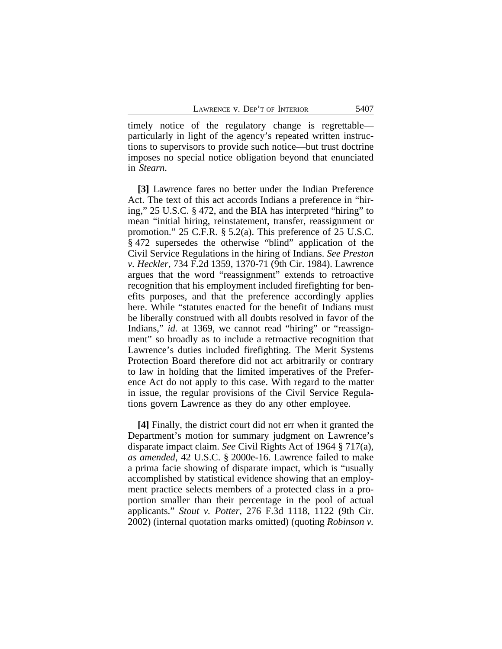timely notice of the regulatory change is regrettable particularly in light of the agency's repeated written instructions to supervisors to provide such notice—but trust doctrine imposes no special notice obligation beyond that enunciated in *Stearn*.

**[3]** Lawrence fares no better under the Indian Preference Act. The text of this act accords Indians a preference in "hiring," 25 U.S.C. § 472, and the BIA has interpreted "hiring" to mean "initial hiring, reinstatement, transfer, reassignment or promotion." 25 C.F.R. § 5.2(a). This preference of 25 U.S.C. § 472 supersedes the otherwise "blind" application of the Civil Service Regulations in the hiring of Indians. *See Preston v. Heckler*, 734 F.2d 1359, 1370-71 (9th Cir. 1984). Lawrence argues that the word "reassignment" extends to retroactive recognition that his employment included firefighting for benefits purposes, and that the preference accordingly applies here. While "statutes enacted for the benefit of Indians must be liberally construed with all doubts resolved in favor of the Indians," *id.* at 1369, we cannot read "hiring" or "reassignment" so broadly as to include a retroactive recognition that Lawrence's duties included firefighting. The Merit Systems Protection Board therefore did not act arbitrarily or contrary to law in holding that the limited imperatives of the Preference Act do not apply to this case. With regard to the matter in issue, the regular provisions of the Civil Service Regulations govern Lawrence as they do any other employee.

**[4]** Finally, the district court did not err when it granted the Department's motion for summary judgment on Lawrence's disparate impact claim. *See* Civil Rights Act of 1964 § 717(a), *as amended*, 42 U.S.C. § 2000e-16. Lawrence failed to make a prima facie showing of disparate impact, which is "usually accomplished by statistical evidence showing that an employment practice selects members of a protected class in a proportion smaller than their percentage in the pool of actual applicants." *Stout v. Potter*, 276 F.3d 1118, 1122 (9th Cir. 2002) (internal quotation marks omitted) (quoting *Robinson v.*